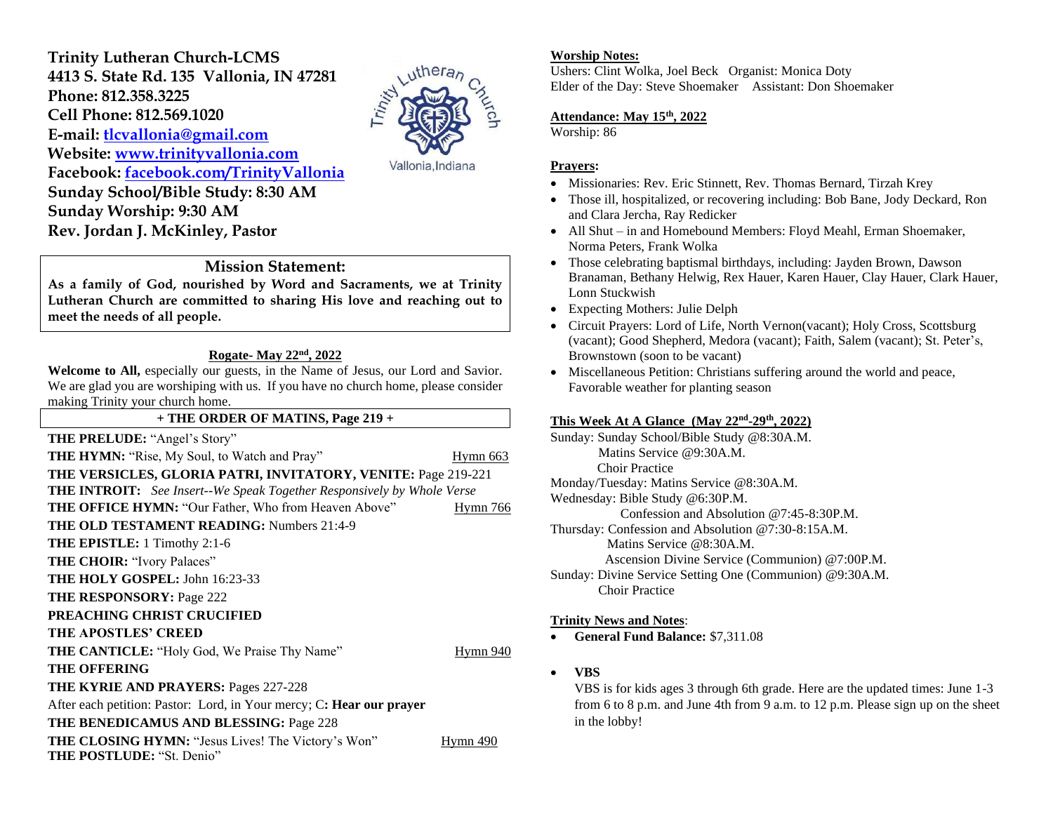**Trinity Lutheran Church-LCMS 4413 S. State Rd. 135 Vallonia, IN 47281 Phone: 812.358.3225 Cell Phone: 812.569.1020 E-mail: [tlcvallonia@gmail.com](mailto:tlcvallonia@gmail.com)  Website: [www.trinityvallonia.com](http://www.trinityvallonia.com/) Facebook: [facebook.com/TrinityVallonia](http://facebook.com/TrinityVallonia)  Sunday School/Bible Study: 8:30 AM Sunday Worship: 9:30 AM Rev. Jordan J. McKinley, Pastor**



Vallonia, Indiana

## **Mission Statement:**

**As a family of God, nourished by Word and Sacraments, we at Trinity Lutheran Church are committed to sharing His love and reaching out to meet the needs of all people.**

# **Rogate- May 22nd, 2022**

Welcome to All, especially our guests, in the Name of Jesus, our Lord and Savior. We are glad you are worshiping with us. If you have no church home, please consider making Trinity your church home.

#### **+ THE ORDER OF MATINS, Page 219 +**

| <b>THE PRELUDE: "Angel's Story"</b>                                                    |          |
|----------------------------------------------------------------------------------------|----------|
| THE HYMN: "Rise, My Soul, to Watch and Pray"                                           | Hymn 663 |
| THE VERSICLES, GLORIA PATRI, INVITATORY, VENITE: Page 219-221                          |          |
| <b>THE INTROIT:</b> See Insert--We Speak Together Responsively by Whole Verse          |          |
| <b>THE OFFICE HYMN: "Our Father, Who from Heaven Above"</b>                            | Hymn 766 |
| <b>THE OLD TESTAMENT READING: Numbers 21:4-9</b>                                       |          |
| <b>THE EPISTLE:</b> 1 Timothy 2:1-6                                                    |          |
| <b>THE CHOIR: "Ivory Palaces"</b>                                                      |          |
| <b>THE HOLY GOSPEL: John 16:23-33</b>                                                  |          |
| <b>THE RESPONSORY: Page 222</b>                                                        |          |
| <b>PREACHING CHRIST CRUCIFIED</b>                                                      |          |
| <b>THE APOSTLES' CREED</b>                                                             |          |
| THE CANTICLE: "Holy God, We Praise Thy Name"                                           | Hymn 940 |
| <b>THE OFFERING</b>                                                                    |          |
| THE KYRIE AND PRAYERS: Pages 227-228                                                   |          |
| After each petition: Pastor: Lord, in Your mercy; C: Hear our prayer                   |          |
| THE BENEDICAMUS AND BLESSING: Page 228                                                 |          |
| THE CLOSING HYMN: "Jesus Lives! The Victory's Won"<br><b>THE POSTLUDE: "St. Denio"</b> | Hymn 490 |
|                                                                                        |          |

#### **Worship Notes:**

Ushers: Clint Wolka, Joel Beck Organist: Monica Doty Elder of the Day: Steve Shoemaker Assistant: Don Shoemaker

## **Attendance: May 15th, 2022**

Worship: 86

#### **Prayers:**

- Missionaries: Rev. Eric Stinnett, Rev. Thomas Bernard, Tirzah Krey
- Those ill, hospitalized, or recovering including: Bob Bane, Jody Deckard, Ron and Clara Jercha, Ray Redicker
- All Shut in and Homebound Members: Floyd Meahl, Erman Shoemaker, Norma Peters, Frank Wolka
- Those celebrating baptismal birthdays, including: Jayden Brown, Dawson Branaman, Bethany Helwig, Rex Hauer, Karen Hauer, Clay Hauer, Clark Hauer, Lonn Stuckwish
- Expecting Mothers: Julie Delph
- Circuit Prayers: Lord of Life, North Vernon(vacant); Holy Cross, Scottsburg (vacant); Good Shepherd, Medora (vacant); Faith, Salem (vacant); St. Peter's, Brownstown (soon to be vacant)
- Miscellaneous Petition: Christians suffering around the world and peace, Favorable weather for planting season

#### **This Week At A Glance (May 22 nd -29th , 2022)**

Sunday: Sunday School/Bible Study @8:30A.M. Matins Service @9:30A.M. Choir Practice Monday/Tuesday: Matins Service @8:30A.M. Wednesday: Bible Study @6:30P.M. Confession and Absolution @7:45-8:30P.M. Thursday: Confession and Absolution @7:30-8:15A.M. Matins Service @8:30A.M. Ascension Divine Service (Communion) @7:00P.M. Sunday: Divine Service Setting One (Communion) @9:30A.M. Choir Practice

#### **Trinity News and Notes**:

• **General Fund Balance:** \$7,311.08

#### • **VBS**

VBS is for kids ages 3 through 6th grade. Here are the updated times: June 1-3 from 6 to 8 p.m. and June 4th from 9 a.m. to 12 p.m. Please sign up on the sheet in the lobby!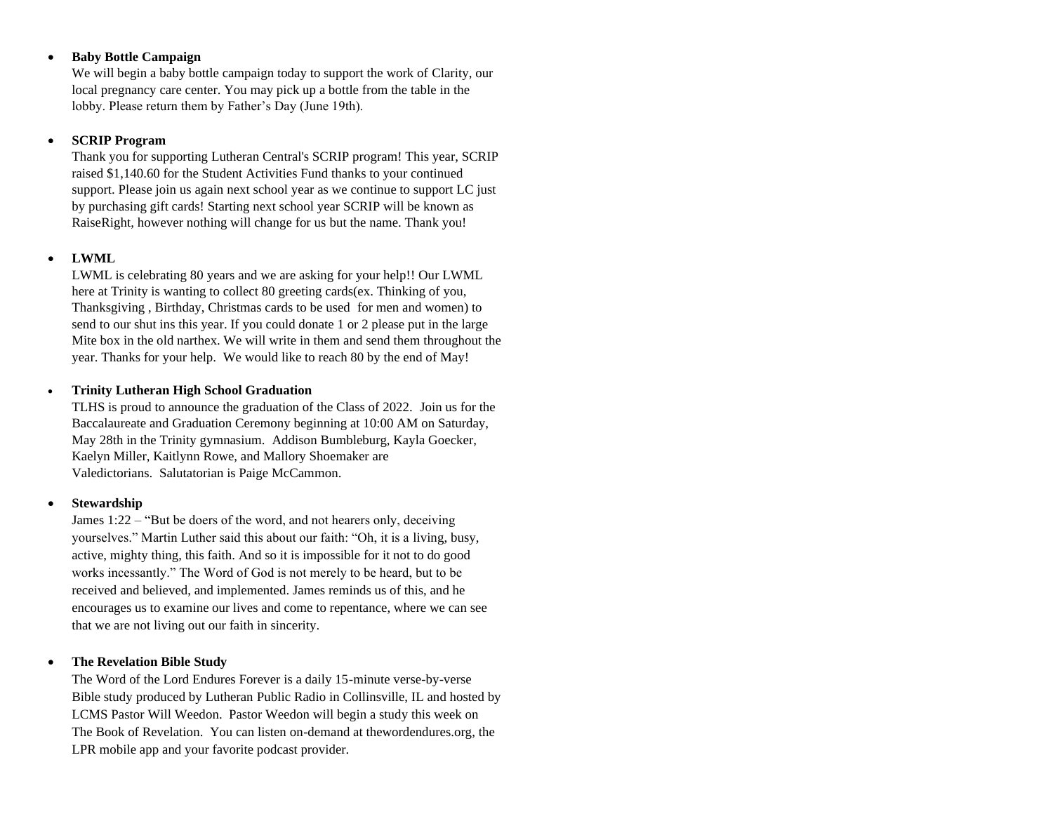#### • **Baby Bottle Campaign**

We will begin a baby bottle campaign today to support the work of Clarity, our local pregnancy care center. You may pick up a bottle from the table in the lobby. Please return them by Father's Day (June 19th).

## • **SCRIP Program**

Thank you for supporting Lutheran Central's SCRIP program! This year, SCRIP raised \$1,140.60 for the Student Activities Fund thanks to your continued support. Please join us again next school year as we continue to support LC just by purchasing gift cards! Starting next school year SCRIP will be known as RaiseRight, however nothing will change for us but the name. Thank you!

## • **LWML**

LWML is celebrating 80 years and we are asking for your help!! Our LWML here at Trinity is wanting to collect 80 greeting cards(ex. Thinking of you, Thanksgiving , Birthday, Christmas cards to be used for men and women) to send to our shut ins this year. If you could donate 1 or 2 please put in the large Mite box in the old narthex. We will write in them and send them throughout the year. Thanks for your help. We would like to reach 80 by the end of May!

## • **Trinity Lutheran High School Graduation**

TLHS is proud to announce the graduation of the Class of 2022. Join us for the Baccalaureate and Graduation Ceremony beginning at 10:00 AM on Saturday, May 28th in the Trinity gymnasium. Addison Bumbleburg, Kayla Goecker, Kaelyn Miller, Kaitlynn Rowe, and Mallory Shoemaker are Valedictorians. Salutatorian is Paige McCammon.

## • **Stewardship**

James 1:22 – "But be doers of the word, and not hearers only, deceiving yourselves." Martin Luther said this about our faith: "Oh, it is a living, busy, active, mighty thing, this faith. And so it is impossible for it not to do good works incessantly." The Word of God is not merely to be heard, but to be received and believed, and implemented. James reminds us of this, and he encourages us to examine our lives and come to repentance, where we can see that we are not living out our faith in sincerity.

## • **The Revelation Bible Study**

The Word of the Lord Endures Forever is a daily 15-minute verse-by-verse Bible study produced by Lutheran Public Radio in Collinsville, IL and hosted by LCMS Pastor Will Weedon. Pastor Weedon will begin a study this week on The Book of Revelation. You can listen on-demand at thewordendures.org, the LPR mobile app and your favorite podcast provider.